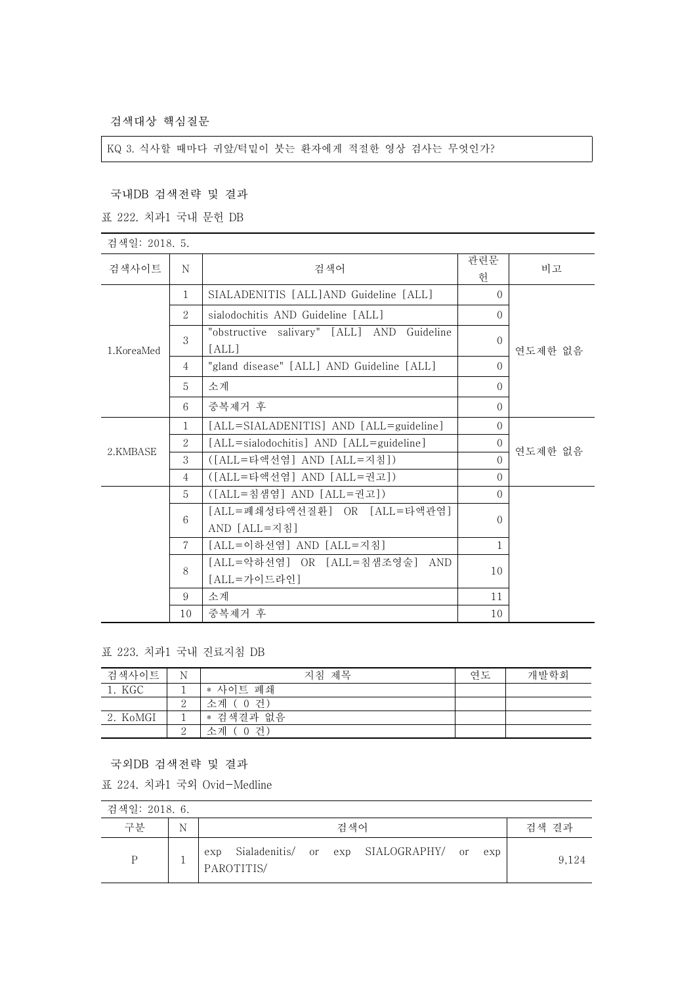검색대상 핵심질문

KQ 3. 식사할 때마다 귀앞/턱밑이 붓는 환자에게 적절한 영상 검사는 무엇인가?

국내DB 검색전략 및 결과

표 222. 치과1 국내 문헌 DB

| 검색일: 2018. 5. |                |                                                     |          |         |  |  |
|---------------|----------------|-----------------------------------------------------|----------|---------|--|--|
| 검색사이트         | N              | 검색어                                                 | 관련문<br>헌 | 비고      |  |  |
|               | $\mathbf{1}$   | SIALADENITIS [ALL]AND Guideline [ALL]               | $\Omega$ |         |  |  |
|               | 2              | sialodochitis AND Guideline [ALL]                   | $\Omega$ |         |  |  |
| 1.KoreaMed    | 3              | "obstructive salivary" [ALL] AND Guideline<br>[ALL] | $\Omega$ | 연도제한 없음 |  |  |
|               | $\overline{4}$ | "gland disease" [ALL] AND Guideline [ALL]           | $\Omega$ |         |  |  |
|               | 5              | 소계                                                  | $\Omega$ |         |  |  |
|               | 6              | 중복제거 후                                              | $\Omega$ |         |  |  |
|               | $\mathbf{1}$   | [ALL=SIALADENITIS] AND [ALL=guideline]              | $\Omega$ |         |  |  |
| 2.KMBASE      | 2              | [ALL=sialodochitis] AND [ALL=guideline]             | $\Omega$ | 연도제한 없음 |  |  |
|               | 3              | ([ALL=타액선염] AND [ALL=지침])                           | $\Omega$ |         |  |  |
|               | 4              | ([ALL=타액선염] AND [ALL=권고])                           | $\Omega$ |         |  |  |
|               | 5              | ([ALL=침샘염] AND [ALL=권고])                            | $\Omega$ |         |  |  |
|               | 6              | [ALL=폐쇄성타액선질환] OR [ALL=타액관염]<br>AND [ALL=지침]        | $\Omega$ |         |  |  |
|               | $\mathcal{I}$  | [ALL=이하선염] AND [ALL=지침]                             | 1        |         |  |  |
|               | 8              | [ALL=악하선염] OR [ALL=침샘조영술] AND<br>[ALL=가이드라인]        | 10       |         |  |  |
|               | 9              | 소계                                                  | 11       |         |  |  |
|               | 10             | 중복제거 후                                              | 10       |         |  |  |

표 223. 치과1 국내 진료지침 DB

| 검색사이트    | N | 지침 제목      | 연도 | 개발학회 |
|----------|---|------------|----|------|
| 1. KGC   |   | * 사이트 폐쇄   |    |      |
|          | ↩ | 소계 (0건)    |    |      |
| 2. KoMGI |   | * 검색결과 없음  |    |      |
|          | ↵ | 소계<br>(0건) |    |      |

국외DB 검색전략 및 결과

표 224. 치과1 국외 Ovid-Medline

| 검색일: 2018. 6. |   |                   |  |     |                                          |  |       |
|---------------|---|-------------------|--|-----|------------------------------------------|--|-------|
| 구분            | N |                   |  | 검색어 |                                          |  | 검색 결과 |
| P             |   | exp<br>PAROTITIS/ |  |     | Sialadenitis/ or exp SIALOGRAPHY/ or exp |  | 9.124 |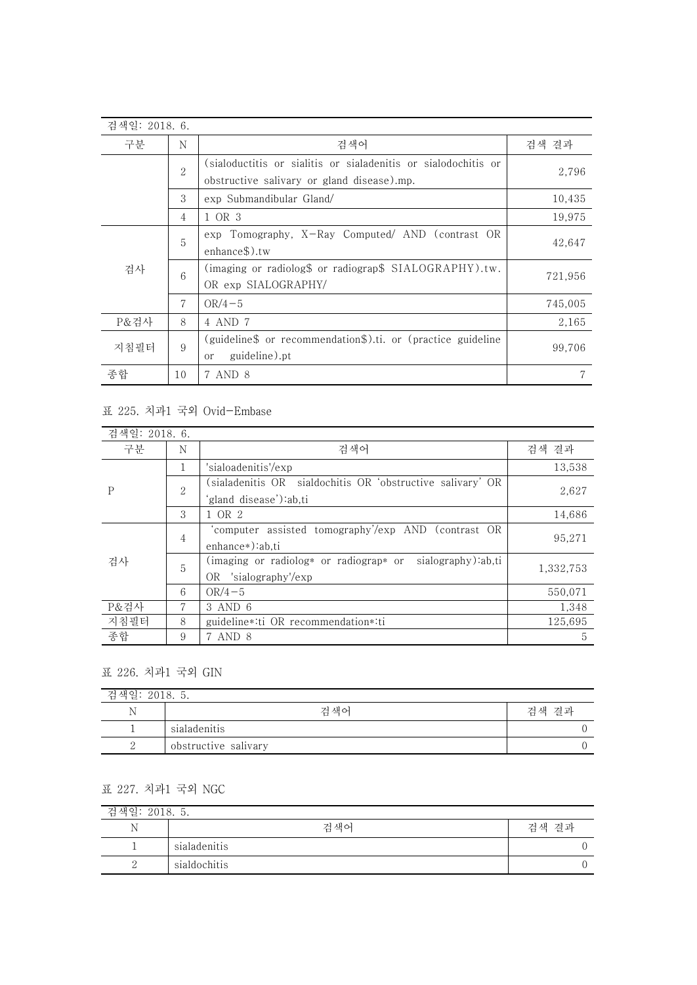| 검색일: 2018. 6. |                |                                                                                                              |         |
|---------------|----------------|--------------------------------------------------------------------------------------------------------------|---------|
| 구분            | N              | 검색 결과                                                                                                        |         |
|               | $\overline{2}$ | (sialoductitis or sialitis or sialadenitis or sialodochitis or<br>obstructive salivary or gland disease).mp. | 2,796   |
|               | 3              | exp Submandibular Gland/                                                                                     | 10,435  |
|               | 4              | 1 OR 3                                                                                                       | 19,975  |
|               | 5              | exp Tomography, X-Ray Computed/ AND (contrast OR<br>enhance\$).tw                                            | 42,647  |
| 검사            | 6              | (imaging or radiolog\$ or radiograp\$ SIALOGRAPHY).tw.<br>OR exp SIALOGRAPHY/                                | 721,956 |
|               | 7              | $OR/4-5$                                                                                                     | 745,005 |
| P&검사          | 8              | 4 AND 7                                                                                                      | 2,165   |
| 지침필터          | 9              | (guideline\$ or recommendation\$).ti. or (practice guideline<br>99,706<br>guideline).pt<br><sub>or</sub>     |         |
| 종합            | 10             | 7 AND 8                                                                                                      | 7       |

## 표 225. 치과1 국외 Ovid-Embase

| 검색일: 2018. 6. |                             |                                                              |           |
|---------------|-----------------------------|--------------------------------------------------------------|-----------|
| 구분            | N                           | 검색어                                                          | 검색 결과     |
|               |                             | 'sialoadenitis'/exp                                          | 13,538    |
| P             | $\mathcal{D}_{\mathcal{L}}$ | sialadenitis OR sialdochitis OR 'obstructive salivary' OR)   | 2,627     |
|               |                             | 'gland disease'):ab,ti                                       |           |
|               | 3                           | 1 OR 2                                                       | 14,686    |
|               | 4                           | computer assisted tomography'/exp AND (contrast OR           | 95,271    |
|               |                             | enhance*):ab.ti                                              |           |
| 검사            | 5                           | sialography):ab,ti<br>(imaging or radiolog* or radiograp* or | 1,332,753 |
|               |                             | OR 'sialography'/exp                                         |           |
|               | 6                           | $OR/4-5$                                                     | 550.071   |
| P&검사          | 7                           | 3 AND 6                                                      | 1,348     |
| 지침필터          | 8                           | guideline *: ti OR recommendation *: ti                      | 125.695   |
| 종합            | 9                           | 7 AND 8                                                      | 5         |

## 표 226. 치과1 국외 GIN

| 검색일: 2018. 5. |                      |       |
|---------------|----------------------|-------|
| Ν             | 건 색어                 | 검색 결과 |
|               | sialadenitis         |       |
| ↵             | obstructive salivary |       |

## 표 227. 치과1 국외 NGC

| 검색일: 2018. 5. |              |       |  |  |
|---------------|--------------|-------|--|--|
| - Ni<br>. .   | 검색어          | 검색 결과 |  |  |
|               | sialadenitis |       |  |  |
| ↵             | sialdochitis |       |  |  |